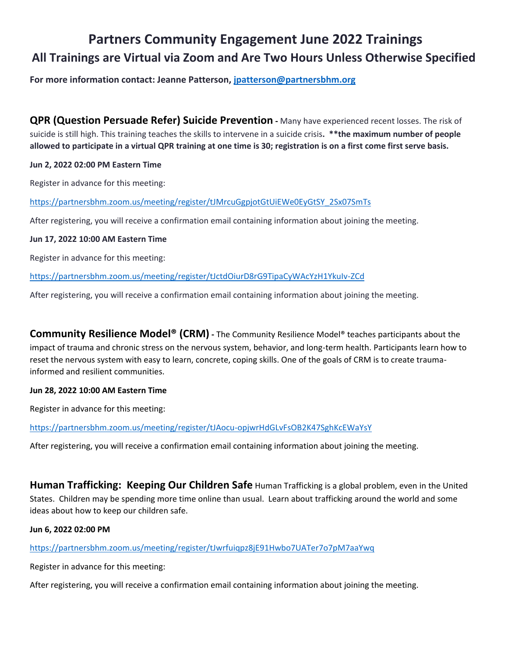# **Partners Community Engagement June 2022 Trainings All Trainings are Virtual via Zoom and Are Two Hours Unless Otherwise Specified**

**For more information contact: Jeanne Patterson, [jpatterson@partnersbhm.org](mailto:jpatterson@partnersbhm.org)**

**QPR (Question Persuade Refer) Suicide Prevention -** Many have experienced recent losses. The risk of suicide is still high. This training teaches the skills to intervene in a suicide crisis**. \*\*the maximum number of people allowed to participate in a virtual QPR training at one time is 30; registration is on a first come first serve basis.** 

#### **Jun 2, 2022 02:00 PM Eastern Time**

Register in advance for this meeting:

[https://partnersbhm.zoom.us/meeting/register/tJMrcuGgpjotGtUiEWe0EyGtSY\\_2Sx07SmTs](https://partnersbhm.zoom.us/meeting/register/tJMrcuGgpjotGtUiEWe0EyGtSY_2Sx07SmTs)

After registering, you will receive a confirmation email containing information about joining the meeting.

#### **Jun 17, 2022 10:00 AM Eastern Time**

Register in advance for this meeting:

<https://partnersbhm.zoom.us/meeting/register/tJctdOiurD8rG9TipaCyWAcYzH1YkuIv-ZCd>

After registering, you will receive a confirmation email containing information about joining the meeting.

**Community Resilience Model® (CRM) -** The Community Resilience Model® teaches participants about the impact of trauma and chronic stress on the nervous system, behavior, and long-term health. Participants learn how to reset the nervous system with easy to learn, concrete, coping skills. One of the goals of CRM is to create traumainformed and resilient communities.

#### **Jun 28, 2022 10:00 AM Eastern Time**

Register in advance for this meeting:

<https://partnersbhm.zoom.us/meeting/register/tJAocu-opjwrHdGLvFsOB2K47SghKcEWaYsY>

After registering, you will receive a confirmation email containing information about joining the meeting.

**Human Trafficking: Keeping Our Children Safe** Human Trafficking is a global problem, even in the United States. Children may be spending more time online than usual. Learn about trafficking around the world and some ideas about how to keep our children safe.

**Jun 6, 2022 02:00 PM** 

#### <https://partnersbhm.zoom.us/meeting/register/tJwrfuiqpz8jE91Hwbo7UATer7o7pM7aaYwq>

Register in advance for this meeting:

After registering, you will receive a confirmation email containing information about joining the meeting.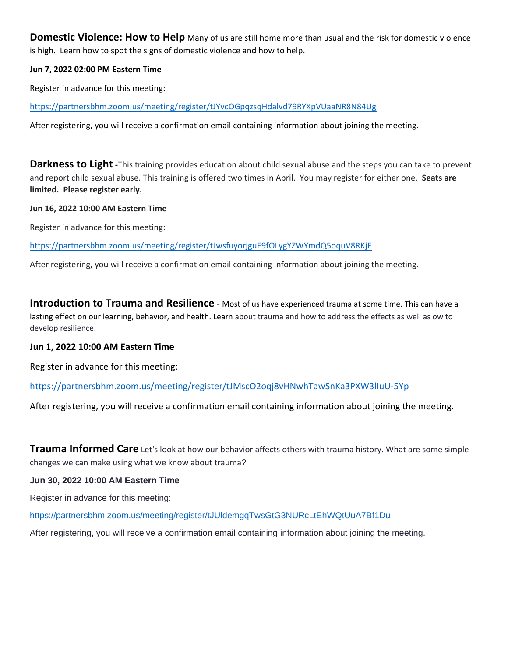**Domestic Violence: How to Help** Many of us are still home more than usual and the risk for domestic violence is high. Learn how to spot the signs of domestic violence and how to help.

#### **Jun 7, 2022 02:00 PM Eastern Time**

Register in advance for this meeting:

<https://partnersbhm.zoom.us/meeting/register/tJYvcOGpqzsqHdalvd79RYXpVUaaNR8N84Ug>

After registering, you will receive a confirmation email containing information about joining the meeting.

**Darkness to Light** -This training provides education about child sexual abuse and the steps you can take to prevent and report child sexual abuse. This training is offered two times in April. You may register for either one. **Seats are limited. Please register early.**

#### **Jun 16, 2022 10:00 AM Eastern Time**

Register in advance for this meeting:

<https://partnersbhm.zoom.us/meeting/register/tJwsfuyorjguE9fOLygYZWYmdQ5oquV8RKjE>

After registering, you will receive a confirmation email containing information about joining the meeting.

**Introduction to Trauma and Resilience** - Most of us have experienced trauma at some time. This can have a lasting effect on our learning, behavior, and health. Learn about trauma and how to address the effects as well as ow to develop resilience.

#### **Jun 1, 2022 10:00 AM Eastern Time**

Register in advance for this meeting:

<https://partnersbhm.zoom.us/meeting/register/tJMscO2oqj8vHNwhTawSnKa3PXW3lIuU-5Yp>

After registering, you will receive a confirmation email containing information about joining the meeting.

**Trauma Informed Care** Let's look at how our behavior affects others with trauma history. What are some simple changes we can make using what we know about trauma?

#### **Jun 30, 2022 10:00 AM Eastern Time**

Register in advance for this meeting:

<https://partnersbhm.zoom.us/meeting/register/tJUldemgqTwsGtG3NURcLtEhWQtUuA7Bf1Du>

After registering, you will receive a confirmation email containing information about joining the meeting.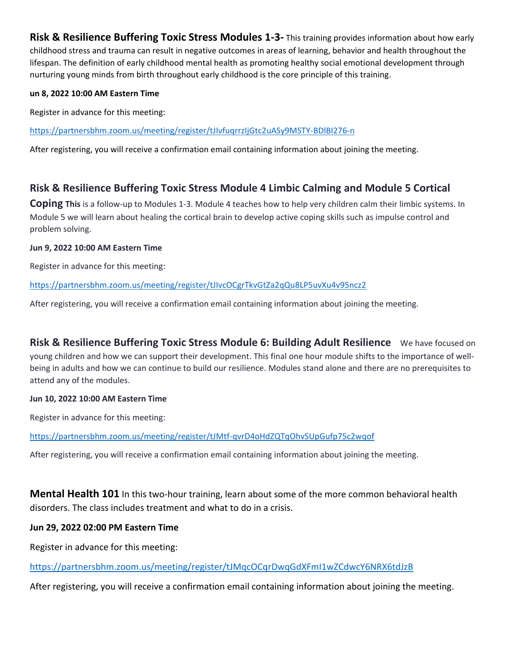**Risk & Resilience Buffering Toxic Stress Modules 1-3-** This training provides information about how early childhood stress and trauma can result in negative outcomes in areas of learning, behavior and health throughout the lifespan. The definition of early childhood mental health as promoting healthy social emotional development through nurturing young minds from birth throughout early childhood is the core principle of this training.

#### **un 8, 2022 10:00 AM Eastern Time**

Register in advance for this meeting:

<https://partnersbhm.zoom.us/meeting/register/tJIvfuqrrzIjGtc2uASy9MSTY-BDlBI276-n>

After registering, you will receive a confirmation email containing information about joining the meeting.

## **Risk & Resilience Buffering Toxic Stress Module 4 Limbic Calming and Module 5 Cortical**

**Coping This** is a follow-up to Modules 1-3. Module 4 teaches how to help very children calm their limbic systems. In Module 5 we will learn about healing the cortical brain to develop active coping skills such as impulse control and problem solving.

#### **Jun 9, 2022 10:00 AM Eastern Time**

Register in advance for this meeting:

<https://partnersbhm.zoom.us/meeting/register/tJIvcOCgrTkvGtZa2qQu8LP5uvXu4v95ncz2>

After registering, you will receive a confirmation email containing information about joining the meeting.

**Risk & Resilience Buffering Toxic Stress Module 6: Building Adult Resilience** We have focused on young children and how we can support their development. This final one hour module shifts to the importance of wellbeing in adults and how we can continue to build our resilience. Modules stand alone and there are no prerequisites to attend any of the modules.

#### **Jun 10, 2022 10:00 AM Eastern Time**

Register in advance for this meeting:

<https://partnersbhm.zoom.us/meeting/register/tJMtf-qvrD4oHdZQTqOhvSUpGufp75c2wqof>

After registering, you will receive a confirmation email containing information about joining the meeting.

**Mental Health 101** In this two-hour training, learn about some of the more common behavioral health disorders. The class includes treatment and what to do in a crisis.

#### **Jun 29, 2022 02:00 PM Eastern Time**

Register in advance for this meeting:

<https://partnersbhm.zoom.us/meeting/register/tJMqcOCqrDwqGdXFmI1wZCdwcY6NRX6tdJzB>

After registering, you will receive a confirmation email containing information about joining the meeting.